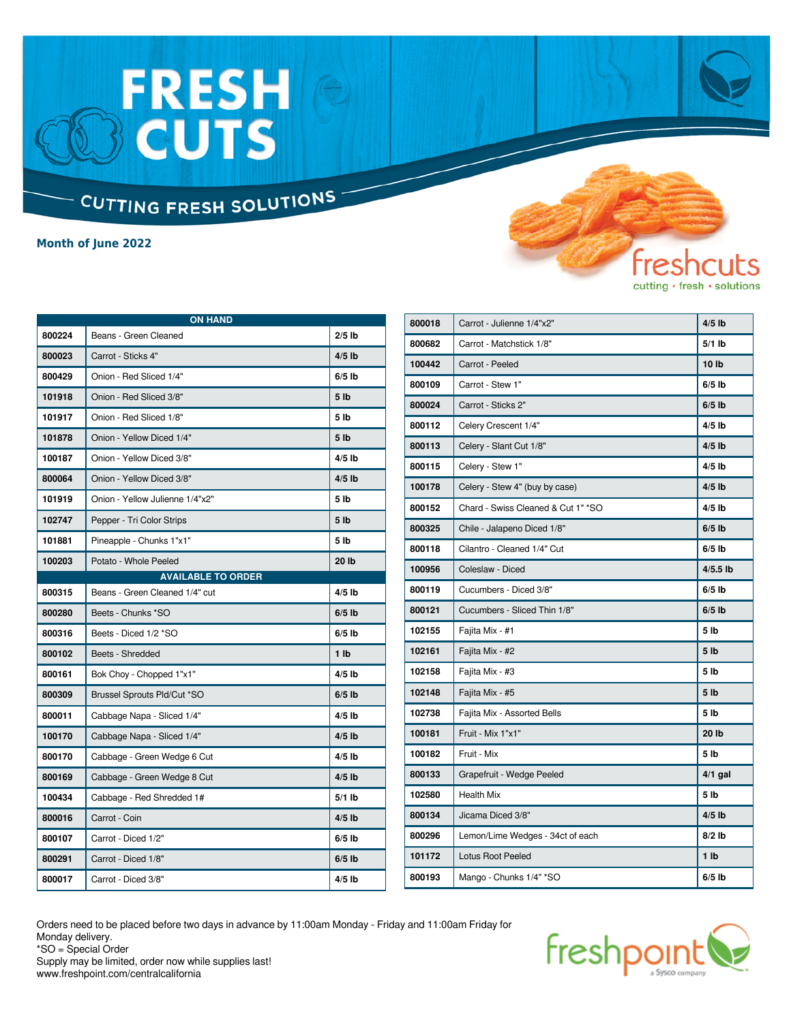### FRESH<br>BCUTS CUTTING FRESH SOLUTIONS

**Month of June 2022**

| <b>ON HAND</b> |                                 |                 |
|----------------|---------------------------------|-----------------|
| 800224         | Beans - Green Cleaned           | $2/5$ lb        |
| 800023         | Carrot - Sticks 4"              | $4/5$ lb        |
| 800429         | Onion - Red Sliced 1/4"         | $6/5$ lb        |
| 101918         | Onion - Red Sliced 3/8"         | 5 <sub>1b</sub> |
| 101917         | Onion - Red Sliced 1/8"         | 5 lb            |
| 101878         | Onion - Yellow Diced 1/4"       | 5 <sub>1b</sub> |
| 100187         | Onion - Yellow Diced 3/8"       | $4/5$ lb        |
| 800064         | Onion - Yellow Diced 3/8"       | $4/5$ lb        |
| 101919         | Onion - Yellow Julienne 1/4"x2" | 5 <sub>lb</sub> |
| 102747         | Pepper - Tri Color Strips       | 5 <sub>1b</sub> |
| 101881         | Pineapple - Chunks 1"x1"        | 5 lb            |
| 100203         | Potato - Whole Peeled           | 20 lb           |
|                | <b>AVAILABLE TO ORDER</b>       |                 |
| 800315         | Beans - Green Cleaned 1/4" cut  | $4/5$ lb        |
| 800280         | Beets - Chunks *SO              | $6/5$ lb        |
| 800316         | Beets - Diced 1/2 *SO           | $6/5$ lb        |
| 800102         | Beets - Shredded                | 1 <sub>1</sub>  |
| 800161         | Bok Choy - Chopped 1"x1"        | $4/5$ lb        |
| 800309         | Brussel Sprouts Pld/Cut *SO     | $6/5$ lb        |
| 800011         | Cabbage Napa - Sliced 1/4"      | $4/5$ lb        |
| 100170         | Cabbage Napa - Sliced 1/4"      | $4/5$ lb        |
| 800170         | Cabbage - Green Wedge 6 Cut     | $4/5$ lb        |
| 800169         | Cabbage - Green Wedge 8 Cut     | $4/5$ lb        |
| 100434         | Cabbage - Red Shredded 1#       | $5/1$ lb        |
| 800016         | Carrot - Coin                   | $4/5$ lb        |
| 800107         | Carrot - Diced 1/2"             | $6/5$ lb        |
| 800291         | Carrot - Diced 1/8"             | $6/5$ lb        |
| 800017         | Carrot - Diced 3/8"             | $4/5$ lb        |

| 800018 | Carrot - Julienne 1/4"x2"           | $4/5$ lb        |
|--------|-------------------------------------|-----------------|
| 800682 | Carrot - Matchstick 1/8"            | $5/1$ lb        |
| 100442 | Carrot - Peeled                     | 10 lb           |
| 800109 | Carrot - Stew 1"                    | $6/5$ lb        |
| 800024 | Carrot - Sticks 2"                  | $6/5$ lb        |
| 800112 | Celery Crescent 1/4"                | $4/5$ lb        |
| 800113 | Celery - Slant Cut 1/8"             | $4/5$ lb        |
| 800115 | Celery - Stew 1"                    | $4/5$ lb        |
| 100178 | Celery - Stew 4" (buy by case)      | $4/5$ lb        |
| 800152 | Chard - Swiss Cleaned & Cut 1" * SO | $4/5$ lb        |
| 800325 | Chile - Jalapeno Diced 1/8"         | $6/5$ lb        |
| 800118 | Cilantro - Cleaned 1/4" Cut         | $6/5$ lb        |
| 100956 | Coleslaw - Diced                    | $4/5.5$ lb      |
| 800119 | Cucumbers - Diced 3/8"              | $6/5$ lb        |
| 800121 | Cucumbers - Sliced Thin 1/8"        | $6/5$ lb        |
| 102155 | Fajita Mix - #1                     | 5 lb            |
| 102161 | Fajita Mix - #2                     | 5 <sub>1b</sub> |
| 102158 | Fajita Mix - #3                     | 5 <sub>1b</sub> |
| 102148 | Fajita Mix - #5                     | 5 <sub>1b</sub> |
| 102738 | Fajita Mix - Assorted Bells         | 5 <sub>1b</sub> |
| 100181 | Fruit - Mix 1"x1"                   | 20 lb           |
| 100182 | Fruit - Mix                         | 5 <sub>1b</sub> |
| 800133 | Grapefruit - Wedge Peeled           | $4/1$ gal       |
| 102580 | <b>Health Mix</b>                   | 5 lb            |
| 800134 | Jicama Diced 3/8"                   | $4/5$ lb        |
| 800296 | Lemon/Lime Wedges - 34ct of each    | $8/2$ lb        |
| 101172 | <b>Lotus Root Peeled</b>            | 1 <sub>1</sub>  |
| 800193 | Mango - Chunks 1/4" *SO             | $6/5$ lb        |

fres

cutting · fresh · solutions

Orders need to be placed before two days in advance by 11:00am Monday - Friday and 11:00am Friday for Monday delivery. \*SO = Special Order



Supply may be limited, order now while supplies last! www.freshpoint.com/centralcalifornia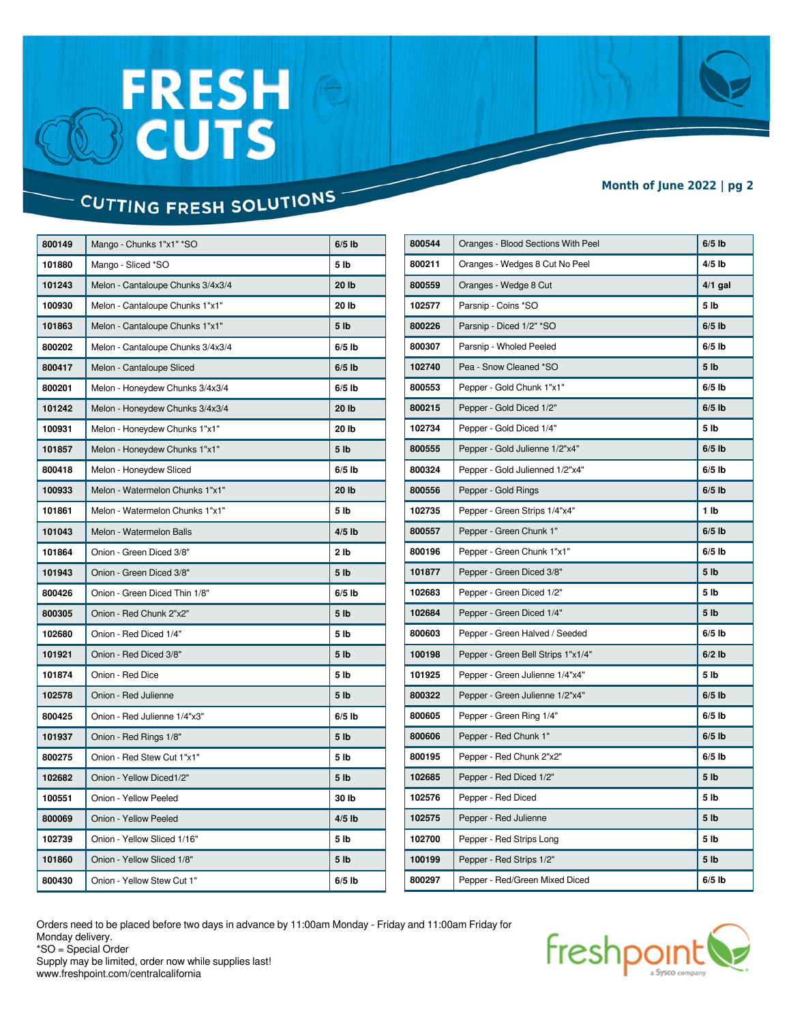# FRESH<br>BCUTS

#### **Month of June 2022 | pg 2**

### CUTTING FRESH SOLUTIONS

| 800149 | Mango - Chunks 1"x1" *SO          | $6/5$ lb        |
|--------|-----------------------------------|-----------------|
| 101880 | Mango - Sliced *SO                | 5 lb            |
| 101243 | Melon - Cantaloupe Chunks 3/4x3/4 | 20 lb           |
| 100930 | Melon - Cantaloupe Chunks 1"x1"   | 20 lb           |
| 101863 | Melon - Cantaloupe Chunks 1"x1"   | 5 lb            |
| 800202 | Melon - Cantaloupe Chunks 3/4x3/4 | $6/5$ lb        |
| 800417 | Melon - Cantaloupe Sliced         | $6/5$ lb        |
| 800201 | Melon - Honeydew Chunks 3/4x3/4   | $6/5$ lb        |
| 101242 | Melon - Honeydew Chunks 3/4x3/4   | 20 lb           |
| 100931 | Melon - Honeydew Chunks 1"x1"     | 20 lb           |
| 101857 | Melon - Honeydew Chunks 1"x1"     | 5 lb            |
| 800418 | Melon - Honeydew Sliced           | $6/5$ lb        |
| 100933 | Melon - Watermelon Chunks 1"x1"   | 20 lb           |
| 101861 | Melon - Watermelon Chunks 1"x1"   | 5 lb            |
| 101043 | Melon - Watermelon Balls          | $4/5$ lb        |
| 101864 | Onion - Green Diced 3/8"          | 2 lb            |
| 101943 | Onion - Green Diced 3/8"          | 5 <sub>1b</sub> |
| 800426 | Onion - Green Diced Thin 1/8"     | $6/5$ lb        |
| 800305 | Onion - Red Chunk 2"x2"           | 5 <sub>1b</sub> |
| 102680 | Onion - Red Diced 1/4"            | 5 <sub>lb</sub> |
| 101921 | Onion - Red Diced 3/8"            | 5 <sub>1b</sub> |
| 101874 | Onion - Red Dice                  | 5 lb            |
| 102578 | Onion - Red Julienne              | 5 lb            |
| 800425 | Onion - Red Julienne 1/4"x3"      | $6/5$ lb        |
| 101937 | Onion - Red Rings 1/8"            | 5 lb            |
| 800275 | Onion - Red Stew Cut 1"x1"        | 5 <sub>lb</sub> |
| 102682 | Onion - Yellow Diced1/2"          | 5 lb            |
| 100551 | Onion - Yellow Peeled             | 30 lb           |
| 800069 | Onion - Yellow Peeled             | $4/5$ lb        |
| 102739 | Onion - Yellow Sliced 1/16"       | 5 <sub>lb</sub> |
| 101860 | Onion - Yellow Sliced 1/8"        | 5 lb            |
| 800430 | Onion - Yellow Stew Cut 1"        | $6/5$ lb        |
|        |                                   |                 |

| 800544 | Oranges - Blood Sections With Peel | $6/5$ lb        |
|--------|------------------------------------|-----------------|
| 800211 | Oranges - Wedges 8 Cut No Peel     | $4/5$ lb        |
| 800559 | Oranges - Wedge 8 Cut              | $4/1$ gal       |
| 102577 | Parsnip - Coins *SO                | 5 lb            |
| 800226 | Parsnip - Diced 1/2" *SO           | $6/5$ lb        |
| 800307 | Parsnip - Wholed Peeled            | $6/5$ lb        |
| 102740 | Pea - Snow Cleaned *SO             | 5 lb            |
| 800553 | Pepper - Gold Chunk 1"x1"          | $6/5$ lb        |
| 800215 | Pepper - Gold Diced 1/2"           | $6/5$ lb        |
| 102734 | Pepper - Gold Diced 1/4"           | 5 lb            |
| 800555 | Pepper - Gold Julienne 1/2"x4"     | $6/5$ lb        |
| 800324 | Pepper - Gold Julienned 1/2"x4"    | $6/5$ lb        |
| 800556 | Pepper - Gold Rings                | $6/5$ lb        |
| 102735 | Pepper - Green Strips 1/4"x4"      | 1 <sub>1</sub>  |
| 800557 | Pepper - Green Chunk 1"            | $6/5$ lb        |
| 800196 | Pepper - Green Chunk 1"x1"         | $6/5$ lb        |
| 101877 | Pepper - Green Diced 3/8"          | 5 <sub>1b</sub> |
| 102683 | Pepper - Green Diced 1/2"          | 5 lb            |
| 102684 | Pepper - Green Diced 1/4"          | 5 <sub>1b</sub> |
| 800603 | Pepper - Green Halved / Seeded     | $6/5$ lb        |
| 100198 | Pepper - Green Bell Strips 1"x1/4" | $6/2$ lb        |
| 101925 | Pepper - Green Julienne 1/4"x4"    | 5 <sub>lb</sub> |
| 800322 | Pepper - Green Julienne 1/2"x4"    | $6/5$ lb        |
| 800605 | Pepper - Green Ring 1/4"           | $6/5$ lb        |
| 800606 | Pepper - Red Chunk 1"              | $6/5$ lb        |
| 800195 | Pepper - Red Chunk 2"x2"           | $6/5$ lb        |
| 102685 | Pepper - Red Diced 1/2"            | 5 lb            |
| 102576 | Pepper - Red Diced                 | 5 <sub>lb</sub> |
| 102575 | Pepper - Red Julienne              | 5 <sub>1b</sub> |
| 102700 | Pepper - Red Strips Long           | 5 lb            |
| 100199 | Pepper - Red Strips 1/2"           | 5 <sub>1b</sub> |
| 800297 | Pepper - Red/Green Mixed Diced     | $6/5$ lb        |

Orders need to be placed before two days in advance by 11:00am Monday - Friday and 11:00am Friday for Monday delivery. \*SO = Special Order



Supply may be limited, order now while supplies last! www.freshpoint.com/centralcalifornia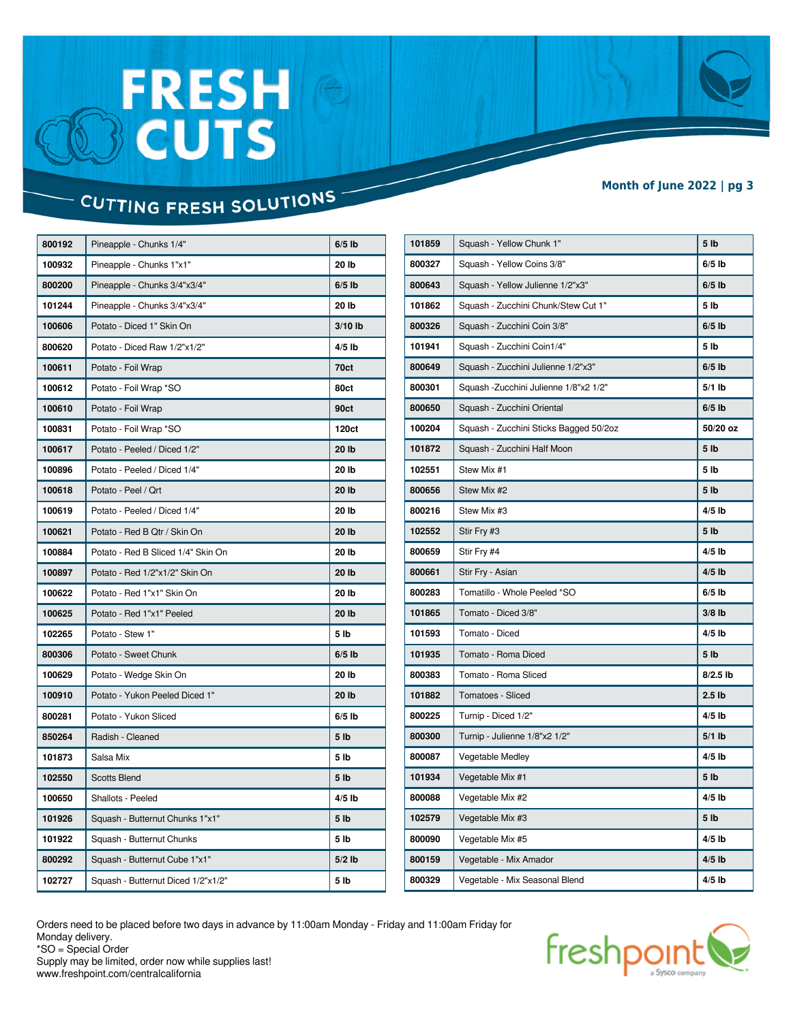# FRESH<br>BCUTS

#### **Month of June 2022 | pg 3**

### CUTTING FRESH SOLUTIONS

| 800192 | Pineapple - Chunks 1/4"            | $6/5$ lb        |
|--------|------------------------------------|-----------------|
| 100932 | Pineapple - Chunks 1"x1"           | 20 lb           |
| 800200 | Pineapple - Chunks 3/4"x3/4"       | $6/5$ lb        |
| 101244 | Pineapple - Chunks 3/4"x3/4"       | 20 lb           |
| 100606 | Potato - Diced 1" Skin On          | $3/10$ lb       |
| 800620 | Potato - Diced Raw 1/2"x1/2"       | $4/5$ lb        |
| 100611 | Potato - Foil Wrap                 | 70ct            |
| 100612 | Potato - Foil Wrap *SO             | 80ct            |
| 100610 | Potato - Foil Wrap                 | 90ct            |
| 100831 | Potato - Foil Wrap *SO             | 120ct           |
| 100617 | Potato - Peeled / Diced 1/2"       | 20 lb           |
| 100896 | Potato - Peeled / Diced 1/4"       | 20 lb           |
| 100618 | Potato - Peel / Qrt                | 20 lb           |
| 100619 | Potato - Peeled / Diced 1/4"       | 20 lb           |
| 100621 | Potato - Red B Qtr / Skin On       | 20 lb           |
| 100884 | Potato - Red B Sliced 1/4" Skin On | 20 lb           |
| 100897 | Potato - Red 1/2"x1/2" Skin On     | 20 lb           |
| 100622 | Potato - Red 1"x1" Skin On         | 20 lb           |
| 100625 | Potato - Red 1"x1" Peeled          | 20 lb           |
| 102265 | Potato - Stew 1"                   | 5 <sub>lb</sub> |
| 800306 | Potato - Sweet Chunk               | $6/5$ lb        |
| 100629 | Potato - Wedge Skin On             | 20 lb           |
| 100910 | Potato - Yukon Peeled Diced 1"     | 20 lb           |
| 800281 | Potato - Yukon Sliced              | $6/5$ lb        |
| 850264 | Radish - Cleaned                   | 5 <sub>1b</sub> |
| 101873 | Salsa Mix                          | 5 <sub>lb</sub> |
| 102550 | <b>Scotts Blend</b>                | 5 <sub>1b</sub> |
| 100650 | Shallots - Peeled                  | $4/5$ lb        |
| 101926 | Squash - Butternut Chunks 1"x1"    | 5 <sub>1b</sub> |
| 101922 | Squash - Butternut Chunks          | 5 <sub>lb</sub> |
| 800292 | Squash - Butternut Cube 1"x1"      | $5/2$ lb        |
| 102727 | Squash - Butternut Diced 1/2"x1/2" | 5 <sub>lb</sub> |
|        |                                    |                 |

| 101859 | Squash - Yellow Chunk 1"               | 5 <sub>1b</sub>   |
|--------|----------------------------------------|-------------------|
| 800327 | Squash - Yellow Coins 3/8"             | $6/5$ lb          |
| 800643 | Squash - Yellow Julienne 1/2"x3"       | $6/5$ lb          |
| 101862 | Squash - Zucchini Chunk/Stew Cut 1"    | 5 <sub>lb</sub>   |
| 800326 | Squash - Zucchini Coin 3/8"            | $6/5$ lb          |
| 101941 | Squash - Zucchini Coin1/4"             | 5 <sub>lb</sub>   |
| 800649 | Squash - Zucchini Julienne 1/2"x3"     | $6/5$ lb          |
| 800301 | Squash - Zucchini Julienne 1/8"x2 1/2" | $5/1$ lb          |
| 800650 | Squash - Zucchini Oriental             | $6/5$ lb          |
| 100204 | Squash - Zucchini Sticks Bagged 50/2oz | 50/20 oz          |
| 101872 | Squash - Zucchini Half Moon            | 5 <sub>1b</sub>   |
| 102551 | Stew Mix #1                            | 5 <sub>lb</sub>   |
| 800656 | Stew Mix #2                            | 5 <sub>1b</sub>   |
| 800216 | Stew Mix #3                            | $4/5$ lb          |
| 102552 | Stir Fry #3                            | 5 lb              |
| 800659 | Stir Fry #4                            | $4/5$ lb          |
| 800661 | Stir Fry - Asian                       | $4/5$ lb          |
| 800283 | Tomatillo - Whole Peeled *SO           | $6/5$ lb          |
| 101865 | Tomato - Diced 3/8"                    | $3/8$ lb          |
| 101593 | Tomato - Diced                         | $4/5$ lb          |
| 101935 | Tomato - Roma Diced                    | 5 lb              |
| 800383 | Tomato - Roma Sliced                   | $8/2.5$ lb        |
| 101882 | Tomatoes - Sliced                      | 2.5 <sub>1b</sub> |
| 800225 | Turnip - Diced 1/2"                    | $4/5$ lb          |
| 800300 | Turnip - Julienne 1/8"x2 1/2"          | $5/1$ lb          |
| 800087 | <b>Vegetable Medley</b>                | $4/5$ lb          |
| 101934 | Vegetable Mix #1                       | 5 <sub>1b</sub>   |
| 800088 | Vegetable Mix #2                       | $4/5$ lb          |
| 102579 | Vegetable Mix #3                       | 5 <sub>1b</sub>   |
| 800090 | Vegetable Mix #5                       | $4/5$ lb          |
| 800159 | Vegetable - Mix Amador                 | $4/5$ lb          |
| 800329 | Vegetable - Mix Seasonal Blend         | $4/5$ lb          |

Orders need to be placed before two days in advance by 11:00am Monday - Friday and 11:00am Friday for Monday delivery. \*SO = Special Order



Supply may be limited, order now while supplies last! www.freshpoint.com/centralcalifornia